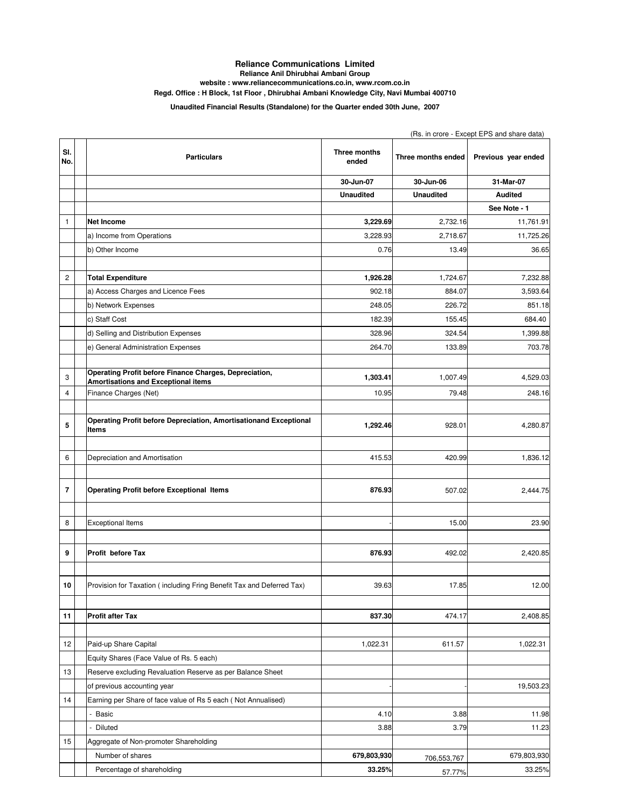## **Reliance Communications Limited Reliance Anil Dhirubhai Ambani Group**

**website : www.reliancecommunications.co.in, www.rcom.co.in**

**Regd. Office : H Block, 1st Floor , Dhirubhai Ambani Knowledge City, Navi Mumbai 400710**

**Unaudited Financial Results (Standalone) for the Quarter ended 30th June, 2007**

|              |                                                                                               | (Rs. in crore - Except EPS and share data) |                    |                     |  |
|--------------|-----------------------------------------------------------------------------------------------|--------------------------------------------|--------------------|---------------------|--|
| SI.<br>No.   | <b>Particulars</b>                                                                            | Three months<br>ended                      | Three months ended | Previous year ended |  |
|              |                                                                                               | 30-Jun-07                                  | 30-Jun-06          | 31-Mar-07           |  |
|              |                                                                                               | <b>Unaudited</b>                           | <b>Unaudited</b>   | <b>Audited</b>      |  |
|              |                                                                                               |                                            |                    | See Note - 1        |  |
| $\mathbf{1}$ | <b>Net Income</b>                                                                             | 3,229.69                                   | 2,732.16           | 11,761.91           |  |
|              | a) Income from Operations                                                                     | 3,228.93                                   | 2,718.67           | 11,725.26           |  |
|              | b) Other Income                                                                               | 0.76                                       | 13.49              | 36.65               |  |
|              |                                                                                               |                                            |                    |                     |  |
| $\mathbf 2$  | <b>Total Expenditure</b>                                                                      | 1,926.28                                   | 1,724.67           | 7,232.88            |  |
|              | a) Access Charges and Licence Fees                                                            | 902.18                                     | 884.07             | 3,593.64            |  |
|              | b) Network Expenses                                                                           | 248.05                                     | 226.72             | 851.18              |  |
|              | c) Staff Cost                                                                                 | 182.39                                     | 155.45             | 684.40              |  |
|              | d) Selling and Distribution Expenses                                                          | 328.96                                     | 324.54             | 1,399.88            |  |
|              | e) General Administration Expenses                                                            | 264.70                                     | 133.89             | 703.78              |  |
|              |                                                                                               |                                            |                    |                     |  |
| 3            | Operating Profit before Finance Charges, Depreciation,<br>Amortisations and Exceptional items | 1,303.41                                   | 1,007.49           | 4,529.03            |  |
| 4            | Finance Charges (Net)                                                                         | 10.95                                      | 79.48              | 248.16              |  |
|              |                                                                                               |                                            |                    |                     |  |
| 5            | Operating Profit before Depreciation, Amortisationand Exceptional<br>Items                    | 1,292.46                                   | 928.01             | 4,280.87            |  |
|              |                                                                                               |                                            |                    |                     |  |
| 6            | Depreciation and Amortisation                                                                 | 415.53                                     | 420.99             | 1,836.12            |  |
|              |                                                                                               |                                            |                    |                     |  |
| 7            | <b>Operating Profit before Exceptional Items</b>                                              | 876.93                                     | 507.02             | 2,444.75            |  |
|              |                                                                                               |                                            |                    |                     |  |
| 8            | <b>Exceptional Items</b>                                                                      |                                            | 15.00              | 23.90               |  |
|              |                                                                                               |                                            |                    |                     |  |
| 9            | Profit before Tax                                                                             | 876.93                                     | 492.02             | 2,420.85            |  |
| 10           | Provision for Taxation (including Fring Benefit Tax and Deferred Tax)                         | 39.63                                      | 17.85              | 12.00               |  |
|              |                                                                                               |                                            |                    |                     |  |
| 11           | <b>Profit after Tax</b>                                                                       | 837.30                                     | 474.17             | 2,408.85            |  |
|              |                                                                                               |                                            |                    |                     |  |
| 12           | Paid-up Share Capital                                                                         | 1,022.31                                   | 611.57             | 1,022.31            |  |
|              | Equity Shares (Face Value of Rs. 5 each)                                                      |                                            |                    |                     |  |
| 13           | Reserve excluding Revaluation Reserve as per Balance Sheet                                    |                                            |                    |                     |  |
|              | of previous accounting year                                                                   |                                            |                    | 19,503.23           |  |
| 14           | Earning per Share of face value of Rs 5 each (Not Annualised)                                 |                                            |                    |                     |  |
|              | - Basic                                                                                       | 4.10                                       | 3.88               | 11.98               |  |
|              | Diluted                                                                                       | 3.88                                       | 3.79               | 11.23               |  |
| 15           | Aggregate of Non-promoter Shareholding                                                        |                                            |                    |                     |  |
|              | Number of shares                                                                              | 679,803,930                                | 706,553,767        | 679,803,930         |  |
|              | Percentage of shareholding                                                                    | 33.25%                                     | 57.77%             | 33.25%              |  |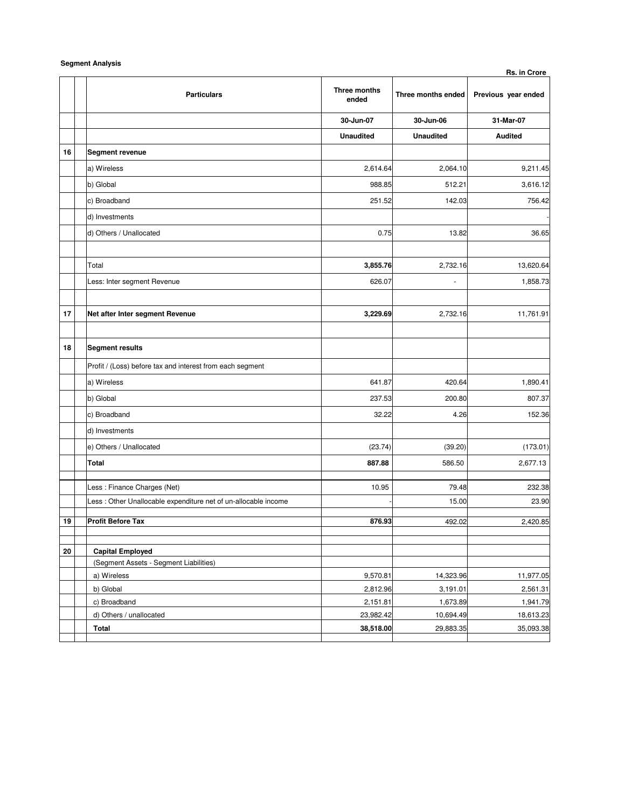|            | <b>Jeginent Analysis</b>                                        |                       |                    | Rs. in Crore        |
|------------|-----------------------------------------------------------------|-----------------------|--------------------|---------------------|
|            | <b>Particulars</b>                                              | Three months<br>ended | Three months ended | Previous year ended |
|            |                                                                 | 30-Jun-07             | 30-Jun-06          | 31-Mar-07           |
|            |                                                                 | <b>Unaudited</b>      | <b>Unaudited</b>   | <b>Audited</b>      |
| 16         | <b>Segment revenue</b>                                          |                       |                    |                     |
|            | a) Wireless                                                     | 2,614.64              | 2,064.10           | 9,211.45            |
|            | b) Global                                                       | 988.85                | 512.21             | 3,616.12            |
|            | c) Broadband                                                    | 251.52                | 142.03             | 756.42              |
|            | d) Investments                                                  |                       |                    |                     |
|            | d) Others / Unallocated                                         | 0.75                  | 13.82              | 36.65               |
|            |                                                                 |                       |                    |                     |
|            | Total                                                           | 3,855.76              | 2,732.16           | 13,620.64           |
|            | Less: Inter segment Revenue                                     | 626.07                | ä,                 | 1,858.73            |
|            |                                                                 |                       |                    |                     |
| 17         | Net after Inter segment Revenue                                 | 3,229.69              | 2,732.16           | 11,761.91           |
|            |                                                                 |                       |                    |                     |
| 18         | <b>Segment results</b>                                          |                       |                    |                     |
|            | Profit / (Loss) before tax and interest from each segment       |                       |                    |                     |
|            | a) Wireless                                                     | 641.87                | 420.64             | 1,890.41            |
|            | b) Global                                                       | 237.53                | 200.80             | 807.37              |
|            | c) Broadband                                                    | 32.22                 | 4.26               | 152.36              |
|            | d) Investments                                                  |                       |                    |                     |
|            |                                                                 |                       |                    |                     |
|            | e) Others / Unallocated                                         | (23.74)               | (39.20)            | (173.01)            |
|            | <b>Total</b>                                                    | 887.88                | 586.50             | 2,677.13            |
|            | Less : Finance Charges (Net)                                    | 10.95                 | 79.48              | 232.38              |
|            | Less : Other Unallocable expenditure net of un-allocable income |                       | 15.00              | 23.90               |
| 19         | <b>Profit Before Tax</b>                                        | 876.93                | 492.02             | 2,420.85            |
|            |                                                                 |                       |                    |                     |
| ${\bf 20}$ | <b>Capital Employed</b>                                         |                       |                    |                     |
|            | (Segment Assets - Segment Liabilities)                          |                       |                    |                     |
|            | a) Wireless                                                     | 9,570.81              | 14,323.96          | 11,977.05           |
|            | b) Global                                                       | 2,812.96              | 3,191.01           | 2,561.31            |
|            | c) Broadband                                                    | 2,151.81              | 1,673.89           | 1,941.79            |
|            | d) Others / unallocated                                         | 23,982.42             | 10,694.49          | 18,613.23           |
|            | Total                                                           | 38,518.00             | 29,883.35          | 35,093.38           |
|            |                                                                 |                       |                    |                     |

**Segment Analysis**